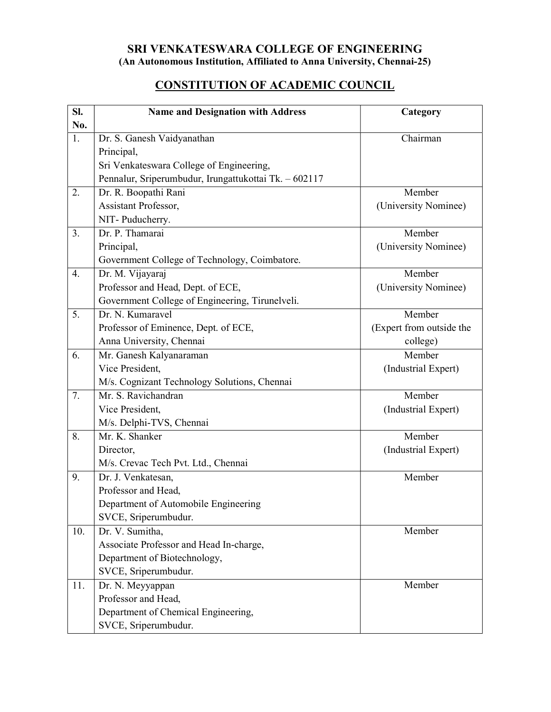## SRI VENKATESWARA COLLEGE OF ENGINEERING (An Autonomous Institution, Affiliated to Anna University, Chennai-25)

## CONSTITUTION OF ACADEMIC COUNCIL

| SI.              | <b>Name and Designation with Address</b>              | Category                 |
|------------------|-------------------------------------------------------|--------------------------|
| No.              |                                                       |                          |
| $\overline{1}$ . | Dr. S. Ganesh Vaidyanathan                            | Chairman                 |
|                  | Principal,                                            |                          |
|                  | Sri Venkateswara College of Engineering,              |                          |
|                  | Pennalur, Sriperumbudur, Irungattukottai Tk. - 602117 |                          |
| 2.               | Dr. R. Boopathi Rani                                  | Member                   |
|                  | Assistant Professor,                                  | (University Nominee)     |
|                  | NIT-Puducherry.                                       |                          |
| 3.               | Dr. P. Thamarai                                       | Member                   |
|                  | Principal,                                            | (University Nominee)     |
|                  | Government College of Technology, Coimbatore.         |                          |
| $\overline{4}$ . | Dr. M. Vijayaraj                                      | Member                   |
|                  | Professor and Head, Dept. of ECE,                     | (University Nominee)     |
|                  | Government College of Engineering, Tirunelveli.       |                          |
| 5.               | Dr. N. Kumaravel                                      | Member                   |
|                  | Professor of Eminence, Dept. of ECE,                  | (Expert from outside the |
|                  | Anna University, Chennai                              | college)                 |
| 6.               | Mr. Ganesh Kalyanaraman                               | Member                   |
|                  | Vice President,                                       | (Industrial Expert)      |
|                  | M/s. Cognizant Technology Solutions, Chennai          |                          |
| 7.               | Mr. S. Ravichandran                                   | Member                   |
|                  | Vice President,                                       | (Industrial Expert)      |
|                  | M/s. Delphi-TVS, Chennai                              |                          |
| 8.               | Mr. K. Shanker                                        | Member                   |
|                  | Director,                                             | (Industrial Expert)      |
|                  | M/s. Crevac Tech Pvt. Ltd., Chennai                   |                          |
| 9.               | Dr. J. Venkatesan,                                    | Member                   |
|                  | Professor and Head,                                   |                          |
|                  | Department of Automobile Engineering                  |                          |
|                  | SVCE, Sriperumbudur.                                  |                          |
| 10.              | Dr. V. Sumitha,                                       | Member                   |
|                  | Associate Professor and Head In-charge,               |                          |
|                  | Department of Biotechnology,                          |                          |
|                  | SVCE, Sriperumbudur.                                  |                          |
| 11.              | Dr. N. Meyyappan                                      | Member                   |
|                  | Professor and Head,                                   |                          |
|                  | Department of Chemical Engineering,                   |                          |
|                  | SVCE, Sriperumbudur.                                  |                          |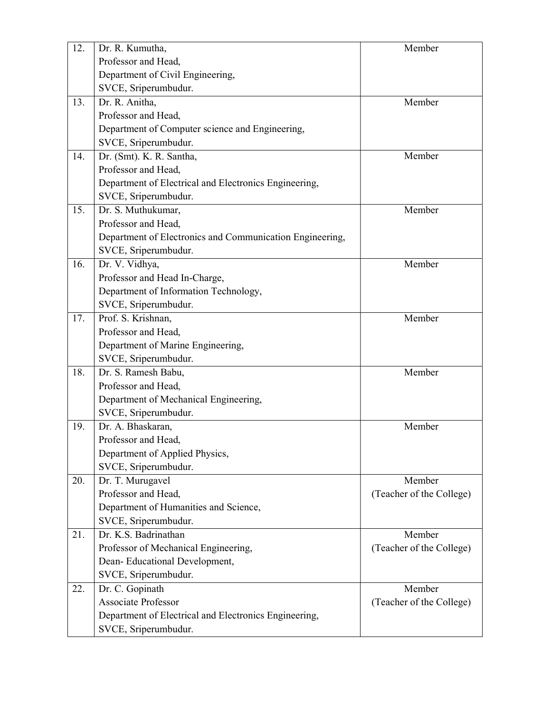| 12. | Dr. R. Kumutha,                                          | Member                   |
|-----|----------------------------------------------------------|--------------------------|
|     | Professor and Head,                                      |                          |
|     | Department of Civil Engineering,                         |                          |
|     | SVCE, Sriperumbudur.                                     |                          |
| 13. | Dr. R. Anitha,                                           | Member                   |
|     | Professor and Head,                                      |                          |
|     | Department of Computer science and Engineering,          |                          |
|     | SVCE, Sriperumbudur.                                     |                          |
| 14. | Dr. (Smt). K. R. Santha,                                 | Member                   |
|     | Professor and Head,                                      |                          |
|     | Department of Electrical and Electronics Engineering,    |                          |
|     | SVCE, Sriperumbudur.                                     |                          |
| 15. | Dr. S. Muthukumar,                                       | Member                   |
|     | Professor and Head,                                      |                          |
|     | Department of Electronics and Communication Engineering, |                          |
|     | SVCE, Sriperumbudur.                                     |                          |
| 16. | Dr. V. Vidhya,                                           | Member                   |
|     | Professor and Head In-Charge,                            |                          |
|     | Department of Information Technology,                    |                          |
|     | SVCE, Sriperumbudur.                                     |                          |
| 17. | Prof. S. Krishnan,                                       | Member                   |
|     | Professor and Head,                                      |                          |
|     | Department of Marine Engineering,                        |                          |
|     | SVCE, Sriperumbudur.                                     |                          |
| 18. | Dr. S. Ramesh Babu,                                      | Member                   |
|     | Professor and Head,                                      |                          |
|     | Department of Mechanical Engineering,                    |                          |
|     | SVCE, Sriperumbudur.                                     |                          |
| 19. | Dr. A. Bhaskaran,                                        | Member                   |
|     | Professor and Head,                                      |                          |
|     | Department of Applied Physics,                           |                          |
|     | SVCE, Sriperumbudur.                                     |                          |
| 20. | Dr. T. Murugavel                                         | Member                   |
|     | Professor and Head,                                      | (Teacher of the College) |
|     | Department of Humanities and Science,                    |                          |
|     | SVCE, Sriperumbudur.                                     |                          |
| 21. | Dr. K.S. Badrinathan                                     | Member                   |
|     | Professor of Mechanical Engineering,                     | (Teacher of the College) |
|     | Dean-Educational Development,                            |                          |
|     | SVCE, Sriperumbudur.                                     |                          |
| 22. | Dr. C. Gopinath                                          | Member                   |
|     | Associate Professor                                      | (Teacher of the College) |
|     | Department of Electrical and Electronics Engineering,    |                          |
|     | SVCE, Sriperumbudur.                                     |                          |
|     |                                                          |                          |